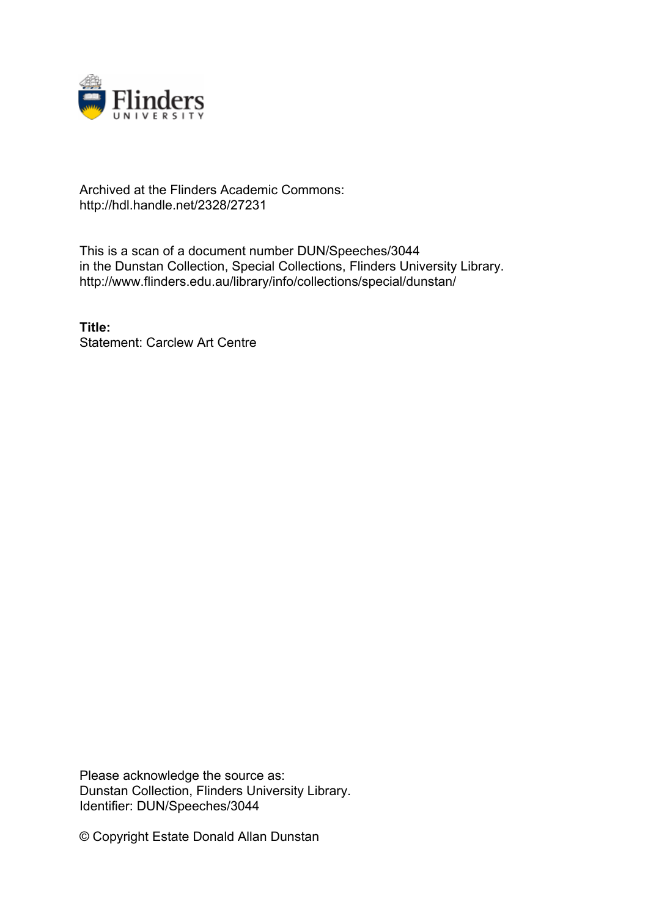

## Archived at the Flinders Academic Commons: http://hdl.handle.net/2328/27231

This is a scan of a document number DUN/Speeches/3044 in the Dunstan Collection, Special Collections, Flinders University Library. http://www.flinders.edu.au/library/info/collections/special/dunstan/

**Title:** Statement: Carclew Art Centre

Please acknowledge the source as: Dunstan Collection, Flinders University Library. Identifier: DUN/Speeches/3044

© Copyright Estate Donald Allan Dunstan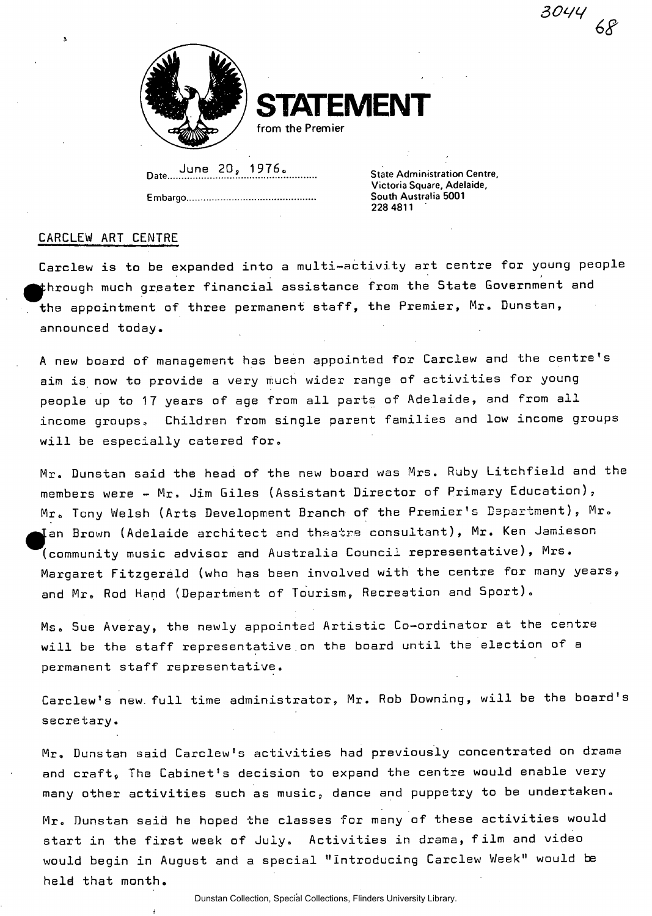

**STEMENT** from the Premier

**Date....^." <sup>6</sup>**

**Embargo South Australia 5001** 

**State Administration Centre, Victoria Square, Adelaide, 228 4811** 

*sow* 

## CARCLEW ART CENTRE

Carclew is to be expanded into a multi-activity art centre for young people  $\sharp$ hrough much greater financial assistance from the State Government and the appointment of three permanent staff, the Premier, Mr. Dunstan, announced today.

A new board of management has been appointed for Carclew and the centre's aim is now to provide a very much wider range of activities for young people up to 17 years of age from all parts of Adelaide, and from all income groups. Children from single parent families and low income groups will be especially catered for.

Mr. Dunstan said the head of the new board was Mrs. Ruby Litchfield and the members were - Mr, Jim Giles (Assistant Director of Primary Education), Mr. Tony Welsh (Arts Development Branch of the Premier's Department), Mr. Ian Brown (Adelaide architect and theatre consultant), Mr. Ken Jamieson (community music advisor and Australia Council representative), <code>Mrs.</code> Margaret Fitzgerald (who has been involved with the centre for many years, and Mr. Rod Hand (Department of Tourism, Recreation and Sport).

Ms. Sue Averay, the newly appointed Artistic Co-ordinator at the centre will be the staff representative on the board until the election of a permanent staff representative.

Carclew's new. full time administrator, Mr. Rob Downing, will be the board's secretary.

Mr. Dunstan said Carclew's activities had previously concentrated on drama and craft, The Cabinet's decision to expand the centre would enable very many other activities such as music, dance and puppetry to be undertaken.

Mr. Dunstan said he hoped the classes for many of these activities would start in the first week of July. Activities in drama, film and video would begin in August and a special "Introducing Carclew Week" would be held that month.

Dunstan Collection, Special Collections, Flinders University Library.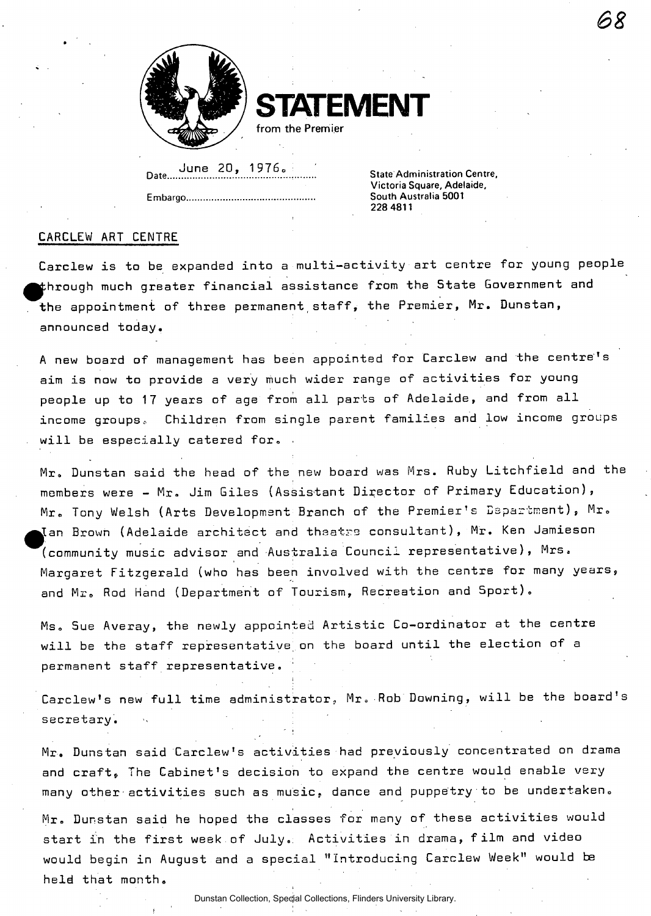

**ATEMENT** 

**Date.....<sup>J</sup> .!J ."<sup>e</sup>**

**Embargo South Australia 5001** 

**.. State Administration Centre, Victoria Square, Adelaide, 228 4811** 

## CARCLEW ART CENTRE

secretary.

Carclew is to be expanded into a multi-activity art centre for young people  $\sharp$ hrough much greater financial assistance from the State Government and the appointment of three permanent staff, the Premier, Mr. Dunstan, announced today.

A new board of management has been appointed for Carclew and the centre's aim is now to provide a very much wider range of activities for young people up to 17 years of age from all parts of Adelaide, and from all income groups.. Children from single parent families and low income groups will be especially catered for.

Mr. Dunstan said the head of the new board was Mrs. Ruby Litchfield and the members were - Mr. Jim Giles (Assistant Director of Primary Education), Mr. Tony Welsh (Arts Development Branch of the Premier's Department), Mr.  $\Lambda$ an Brown (Adelaide architect and theatre consultant), Mr. Ken Jamieson (community music advisor and Australia Council representative), Mrs, Margaret Fitzgerald (who has been involved with the centre for many years, and Mr. Rod Hand (Department of Tourism, Recreation and Sport).

Ms. Sue Averay, the newly appointed Artistic Co-ordinator at the centre will be the staff representative on the board until the election of a permanent staff representative.

i Carclew's new full time administrator, Mr» Rob Downing, will be the board's

Mr. Dunstan said Carclew's activities had previously concentrated on drama and craft. The Cabinet's decision to expand the centre would enable very many other activities such as music, dance and puppetry to be undertaken.

Mr. Dunstan said he hoped the classes for many of these activities would start in the first week of July.: Activities in drama, film and video would begin in August and a special "Introducing Carclew Week" would be held that month.

Dunstan Collection, Special Collections, Flinders University Library.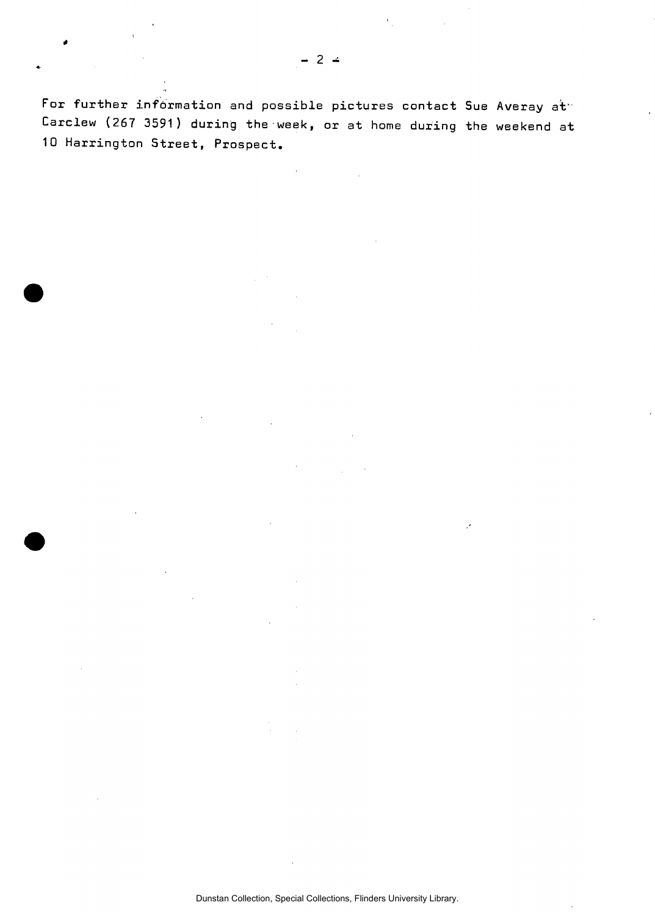$\mathbf{C}_1$ 

For further information and possible pictures contact Sue Averay at Carclew (267 3591) during the week, or at home during the weekend at 10 Harrington Street, Prospect.

Dunstan Collection, Special Collections, Flinders University Library.